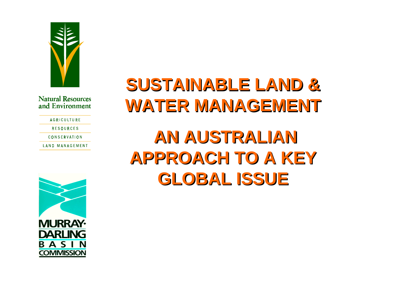

**AGRICULTURE** 

**RESOURCES** 

CONSERVATION

**LAND MANAGEMENT** 



## **SUSTAINABLE LAND &SUSTAINABLE LAND &WATER MANAGEMENT WATER MANAGEMENT**

## **AN AUSTRALIAN AN AUSTRALIANAPPROACH TO A KEYAPPROACH TO A KEYGLOBAL ISSUEGLOBAL ISSUE**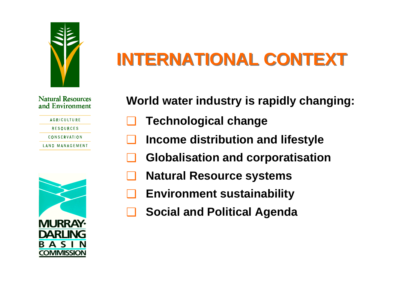

# **INTERNATIONAL CONTEXT**

#### **Natural Resources** and Environment

| <b>AGRICULTURE</b> |  |
|--------------------|--|
| <b>RESOURCES</b>   |  |
| CONSERVATION       |  |
| LAND MANAGEMENT    |  |

**World water industry is rapidly changing:**

- ❑**Technological change**
- ❑**Income distribution and lifestyle**
- ❑**Globalisation and corporatisation**
- ❑**Natural Resource systems**
- ❑**Environment sustainability**
- ❑**Social and Political Agenda**

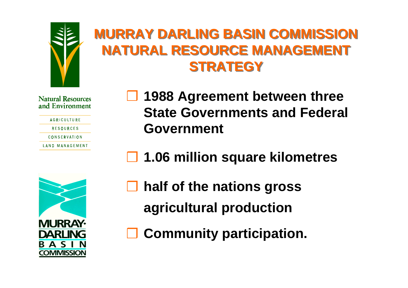

## **MURRAY DARLING BASIN COMMISSION MURRAY DARLING BASIN COMMISSION NATURAL RESOURCE MANAGEMENTNATURAL RESOURCE MANAGEMENT STRATEGYSTRATEGY**

#### **Natural Resources** and Environment

**AGRICULTURE** 

**RESOURCES** 

CONSERVATION

**LAND MANAGEMENT** 

- ❒ **1988 Agreement between three State Governments and Federal Government**
- ❒**1.06 million square kilometres**



- ❒ **half of the nations gross agricultural production**
- ❒**Community participation.**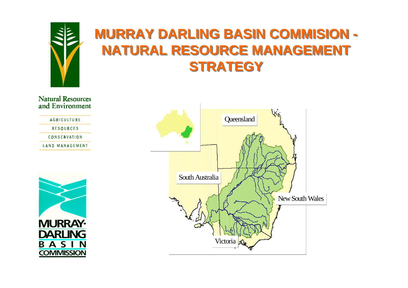

### **MURRAY DARLING BASIN COMMISION - MURRAY DARLING BASIN COMMISION - NATURAL RESOURCE MANAGEMENTNATURAL RESOURCE MANAGEMENT STRATEGYSTRATEGY**

**Natural Resources** and Environment

AGRICULTURE

**RESOURCES** 

CONSERVATION

**LAND MANAGEMENT** 



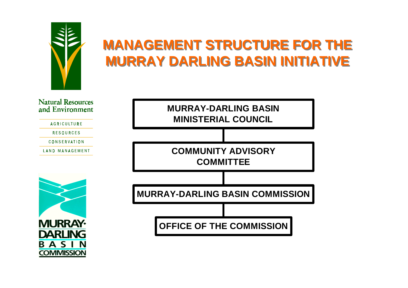

**COMMISSION** 

## **MANAGEMENT STRUCTURE FOR THE MURRAY DARLING BASIN INITIATIVEMURRAY DARLING BASIN INITIATIVE**

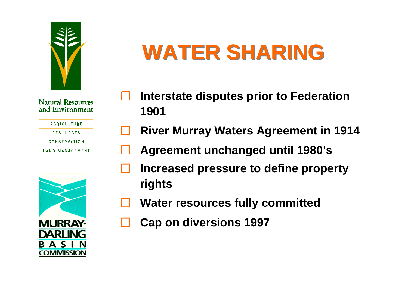

| <b>AGRICULTURE</b> |  |
|--------------------|--|
|                    |  |

**RESOURCES** 

**CONSERVATION** 

**LAND MANAGEMENT** 



# **WATER SHARING WATER SHARING**

- ❒ **Interstate disputes prior to Federation 1901**
- ❒**River Murray Waters Agreement in 1914**
- ❒**Agreement unchanged until 1980's**
- ❒ **Increased pressure to define property rights**
- ❒**Water resources fully committed**
- ❒**Cap on diversions 1997**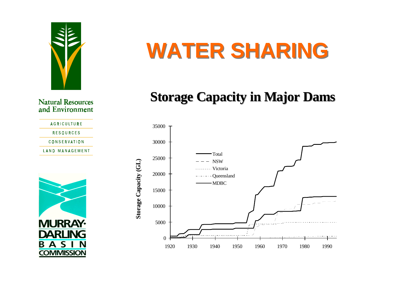

**AGRICULTURE RESOURCES CONSERVATION LAND MANAGEMENT** 



# **WATER SHARING WATER SHARING**

### **Storage Capacity in Major Dams**

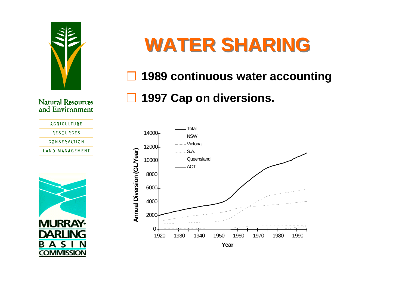

# **WATER SHARING WATER SHARING**

### ❒ **1989 continuous water accounting**

### ❒ **1997 Cap on diversions.**

**Natural Resources** and Environment

**AGRICULTURE RESOURCES CONSERVATION LAND MANAGEMENT** 



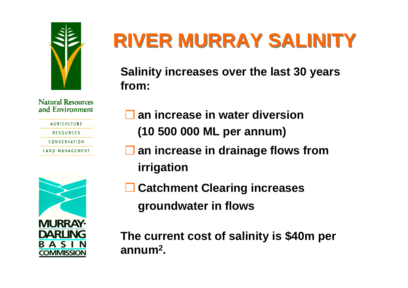

| <b>AGRICULTURE</b> |
|--------------------|
| RFSOURCFS          |
| CONSERVATION       |
| IAND MANAGFMFNT    |



# **RIVER MURRAY SALINITY RIVER MURRAY SALINITY**

**Salinity increases over the last 30 years from:**

- ❒ **an increase in water diversion (10 500 000 ML per annum)**
- ❒ **an increase in drainage flows from irrigation**
- ❒ **Catchment Clearing increases groundwater in flows**

**The current cost of salinity is \$40m per annum2.**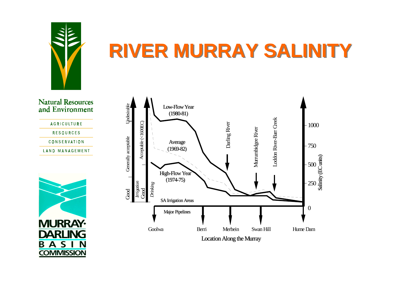

# **RIVER MURRAY SALINITY RIVER MURRAY SALINITY**







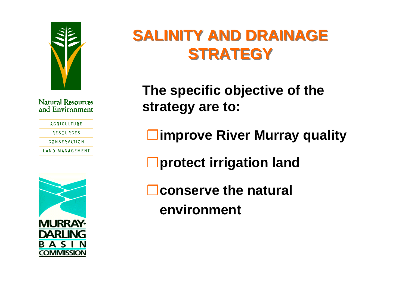

| <b>AGRICULTURE</b> |
|--------------------|
| <b>RESOURCES</b>   |
| CONSERVATION       |
| IAND MANAGFMFNT    |
|                    |



## SALINITY AND DRAINAGE **STRATEGYSTRATEGY**

**The specific objective of the strategy are to:**

❒ **improve River Murray quality**

❒ **protect irrigation land**

❒ **conserve the natural environment**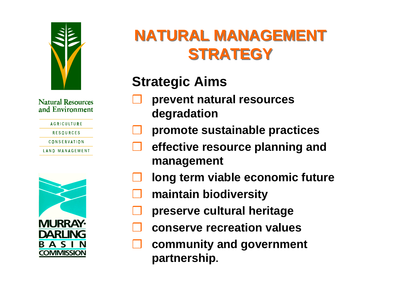

| <b>AGRICULTURE</b> |
|--------------------|
| RFSOURCFS          |
| CONSERVATION       |

**LAND MANAGEMENT** 



## **NATURAL MANAGEMENTNATURAL MANAGEMENT STRATEGYSTRATEGY**

## **Strategic Aims**

- ❒ **prevent natural resources degradation**
- ❒**promote sustainable practices**
- ❒ **effective resource planning and management**
- ❒**long term viable economic future**
- ❒**maintain biodiversity**
- ❒**preserve cultural heritage**
- ❒**conserve recreation values**
- ❒ **community and government partnership.**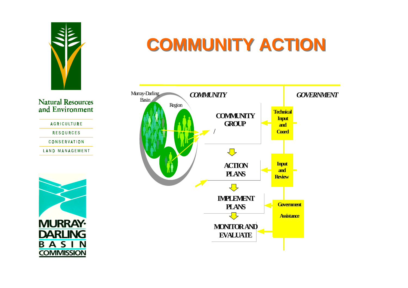

**AGRICULTURE RESOURCES CONSERVATION LAND MANAGEMENT** 



## **COMMUNITY ACTION COMMUNITY ACTION**

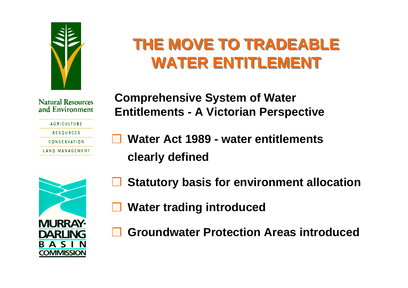

## **THE MOVE TO TRADEABLETHE MOVE TO TRADEABLE WATER ENTITLEMENTWATER ENTITLEMENT**

#### **Natural Resources** and Environment

| <b>AGRICULTURE</b> |
|--------------------|
| RFSOURCFS          |
| CONSERVATION       |
| IAND MANAGEMENT    |

**Comprehensive System of Water Entitlements - A Victorian Perspective**

❒ **Water Act 1989 - water entitlements clearly defined**



- ❒**Statutory basis for environment allocation**
- ❒**Water trading introduced**
- ❒**Groundwater Protection Areas introduced**